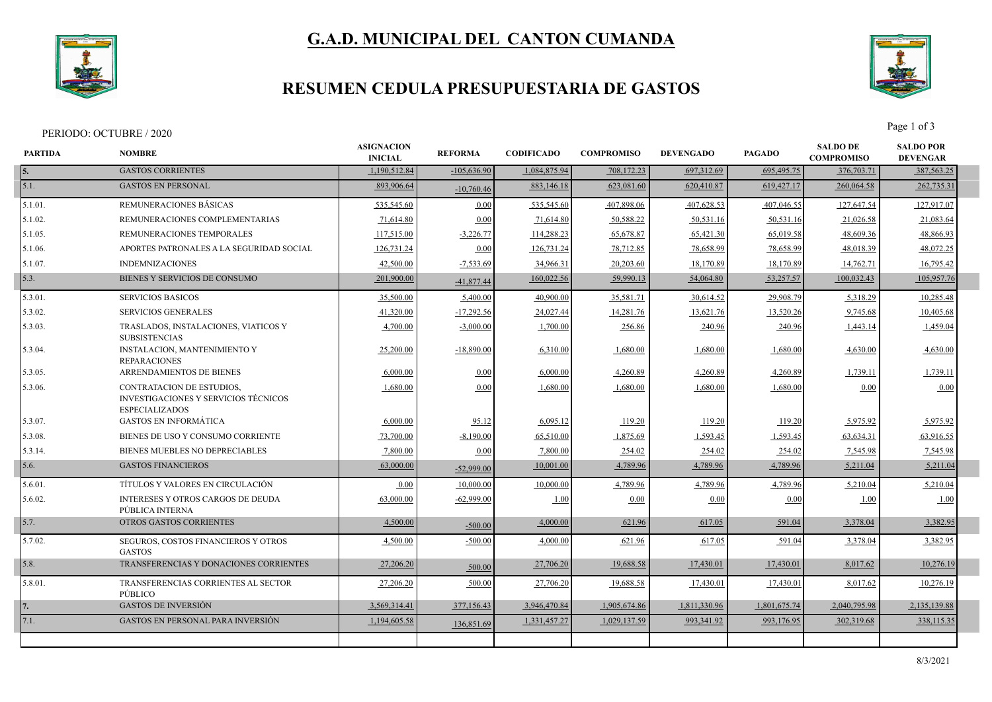

# **G.A.D. MUNICIPAL DEL CANTON CUMANDA**

### **RESUMEN CEDULA PRESUPUESTARIA DE GASTOS**



Page 1 of 3<br>Page 1 of 3

| <b>PARTIDA</b> | <b>NOMBRE</b>                                                                              | <b>ASIGNACION</b><br><b>INICIAL</b> | <b>REFORMA</b> | <b>CODIFICADO</b> | <b>COMPROMISO</b> | <b>DEVENGADO</b> | <b>PAGADO</b> | <b>SALDO DE</b><br><b>COMPROMISO</b> | <b>SALDO POR</b><br><b>DEVENGAR</b> |  |
|----------------|--------------------------------------------------------------------------------------------|-------------------------------------|----------------|-------------------|-------------------|------------------|---------------|--------------------------------------|-------------------------------------|--|
| 5.             | <b>GASTOS CORRIENTES</b>                                                                   | 1.190.512.84                        | $-105,636.90$  | 1,084,875.94      | 708,172.23        | 697,312.69       | 695,495.75    | 376,703.71                           | 387,563.25                          |  |
| 5.1.           | <b>GASTOS EN PERSONAL</b>                                                                  | 893,906.64                          | $-10,760.46$   | 883,146.18        | 623,081.60        | 620,410.87       | 619,427.17    | 260,064.58                           | 262,735.31                          |  |
| 5.1.01.        | REMUNERACIONES BÁSICAS                                                                     | 535,545.60                          | 0.00           | 535,545.60        | 407,898.06        | 407,628.53       | 407,046.55    | 127,647.54                           | 127,917.07                          |  |
| 5.1.02.        | REMUNERACIONES COMPLEMENTARIAS                                                             | 71,614.80                           | 0.00           | 71,614.80         | 50,588.22         | 50,531.16        | 50,531.16     | 21,026.58                            | 21,083.64                           |  |
| 5.1.05.        | REMUNERACIONES TEMPORALES                                                                  | 117,515.00                          | $-3,226.77$    | 114,288.23        | 65,678.87         | 65,421.30        | 65,019.58     | 48,609.36                            | 48,866.93                           |  |
| 5.1.06.        | APORTES PATRONALES A LA SEGURIDAD SOCIAL                                                   | 126,731.24                          | 0.00           | 126,731.24        | 78,712.85         | 78,658.99        | 78,658.99     | 48,018.39                            | 48,072.25                           |  |
| 5.1.07.        | <b>INDEMNIZACIONES</b>                                                                     | 42,500.00                           | $-7,533.69$    | 34,966.31         | 20,203.60         | 18,170.89        | 18,170.89     | 14,762.71                            | 16,795.42                           |  |
| 5.3.           | BIENES Y SERVICIOS DE CONSUMO                                                              | 201,900.00                          | $-41,877.44$   | 160,022.56        | 59,990.13         | 54,064.80        | 53,257.57     | 100,032.43                           | 105,957.76                          |  |
| 5.3.01.        | <b>SERVICIOS BASICOS</b>                                                                   | 35,500.00                           | 5,400.00       | 40,900.00         | 35,581.71         | 30,614.52        | 29,908.79     | 5,318.29                             | 10,285.48                           |  |
| 5.3.02.        | <b>SERVICIOS GENERALES</b>                                                                 | 41,320.00                           | $-17,292.56$   | 24,027.44         | 14,281.76         | 13,621.76        | 13,520.26     | 9,745.68                             | 10,405.68                           |  |
| 5.3.03.        | TRASLADOS, INSTALACIONES, VIATICOS Y<br><b>SUBSISTENCIAS</b>                               | 4,700.00                            | $-3,000.00$    | 1,700.00          | 256.86            | 240.96           | 240.96        | 1,443.14                             | 1,459.04                            |  |
| 5.3.04.        | <b>INSTALACION, MANTENIMIENTO Y</b><br><b>REPARACIONES</b>                                 | 25,200.00                           | $-18,890.00$   | 6,310.00          | 1,680.00          | 1,680.00         | 1,680.00      | 4,630.00                             | 4,630.00                            |  |
| 5.3.05.        | ARRENDAMIENTOS DE BIENES                                                                   | 6,000.00                            | 0.00           | 6,000.00          | 4,260.89          | 4,260.89         | 4,260.89      | 1,739.11                             | 1,739.11                            |  |
| 5.3.06.        | CONTRATACION DE ESTUDIOS.<br>INVESTIGACIONES Y SERVICIOS TÉCNICOS<br><b>ESPECIALIZADOS</b> | 1,680.00                            | 0.00           | 1,680.00          | 1,680.00          | 1,680.00         | 1,680.00      | 0.00                                 | 0.00                                |  |
| 5.3.07.        | <b>GASTOS EN INFORMATICA</b>                                                               | 6,000.00                            | 95.12          | 6,095.12          | 119.20            | 119.20           | 119.20        | 5,975.92                             | 5,975.92                            |  |
| 5.3.08.        | BIENES DE USO Y CONSUMO CORRIENTE                                                          | 73,700.00                           | $-8,190.00$    | 65,510.00         | 1,875.69          | 1,593.45         | 1,593.45      | 63,634.31                            | 63,916.55                           |  |
| 5.3.14.        | BIENES MUEBLES NO DEPRECIABLES                                                             | 7,800.00                            | 0.00           | 7,800.00          | 254.02            | 254.02           | 254.02        | 7,545.98                             | 7,545.98                            |  |
| 5.6.           | <b>GASTOS FINANCIEROS</b>                                                                  | 63,000.00                           | $-52,999.00$   | 10,001.00         | 4,789.96          | 4,789.96         | 4,789.96      | 5,211.04                             | 5,211.04                            |  |
| 5.6.01.        | TÍTULOS Y VALORES EN CIRCULACIÓN                                                           | 0.00                                | 10.000.00      | 10,000.00         | 4,789.96          | 4,789.96         | 4,789.96      | 5,210.04                             | 5,210.04                            |  |
| 5.6.02.        | <b>INTERESES Y OTROS CARGOS DE DEUDA</b><br>PÚBLICA INTERNA                                | 63,000.00                           | $-62,999.00$   | 1.00              | 0.00              | 0.00             | 0.00          | 1.00                                 | 1.00                                |  |
| 5.7.           | OTROS GASTOS CORRIENTES                                                                    | 4,500.00                            | $-500.00$      | 4,000.00          | 621.96            | 617.05           | 591.04        | 3,378.04                             | 3,382.95                            |  |
| 5.7.02.        | SEGUROS, COSTOS FINANCIEROS Y OTROS<br><b>GASTOS</b>                                       | 4,500.00                            | $-500.00$      | 4,000.00          | 621.96            | 617.05           | 591.04        | 3,378.04                             | 3,382.95                            |  |
| 5.8.           | TRANSFERENCIAS Y DONACIONES CORRIENTES                                                     | 27,206.20                           | 500.00         | 27,706.20         | 19,688.58         | 17,430.01        | 17,430.0      | 8,017.62                             | 10,276.19                           |  |
| 5.8.01.        | TRANSFERENCIAS CORRIENTES AL SECTOR<br>PÚBLICO                                             | 27,206.20                           | 500.00         | 27,706.20         | 19,688.58         | 17,430.01        | 17,430.01     | 8,017.62                             | 10,276.19                           |  |
|                | <b>GASTOS DE INVERSIÓN</b>                                                                 | 3,569,314.41                        | 377,156.43     | 3,946,470.84      | 1,905,674.86      | 1,811,330.96     | 1,801,675.74  | 2,040,795.98                         | 2,135,139.88                        |  |
| 7.1.           | <b>GASTOS EN PERSONAL PARA INVERSIÓN</b>                                                   | 1,194,605.58                        | 136,851.69     | 1,331,457.27      | 1,029,137.59      | 993,341.92       | 993,176.95    | 302,319.68                           | 338,115.35                          |  |
|                |                                                                                            |                                     |                |                   |                   |                  |               |                                      |                                     |  |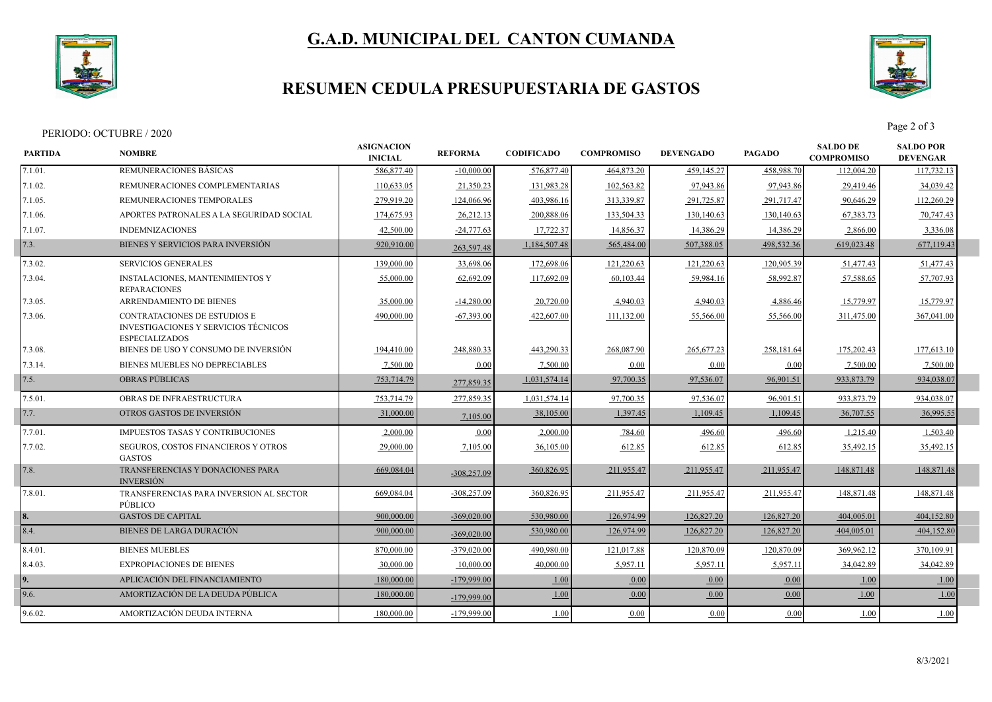

# **G.A.D. MUNICIPAL DEL CANTON CUMANDA**

### **RESUMEN CEDULA PRESUPUESTARIA DE GASTOS**



Page 2 of 3<br>Page 2 of 3

| <b>PARTIDA</b> | <b>NOMBRE</b>                                                                                 | <b>ASIGNACION</b><br><b>INICIAL</b> | <b>REFORMA</b> | <b>CODIFICADO</b> | <b>COMPROMISO</b> | <b>DEVENGADO</b> | <b>PAGADO</b> | <b>SALDO DE</b><br><b>COMPROMISO</b> | <b>SALDO POR</b><br><b>DEVENGAR</b> |  |
|----------------|-----------------------------------------------------------------------------------------------|-------------------------------------|----------------|-------------------|-------------------|------------------|---------------|--------------------------------------|-------------------------------------|--|
| 7.1.01.        | REMUNERACIONES BÁSICAS                                                                        | 586,877.40                          | $-10,000.00$   | 576,877.40        | 464,873.20        | 459,145.27       | 458,988.70    | 112,004.20                           | 117,732.13                          |  |
| 7.1.02.        | REMUNERACIONES COMPLEMENTARIAS                                                                | 110,633.05                          | 21,350.23      | 131,983.28        | 102,563.82        | 97,943.86        | 97,943.86     | 29,419.46                            | 34,039.42                           |  |
| 7.1.05.        | REMUNERACIONES TEMPORALES                                                                     | 279,919.20                          | 124,066.96     | 403,986.16        | 313,339.87        | 291,725.87       | 291,717.47    | 90,646.29                            | 112,260.29                          |  |
| 7.1.06.        | APORTES PATRONALES A LA SEGURIDAD SOCIAL                                                      | 174,675.93                          | 26,212.13      | 200,888.06        | 133,504.33        | 130,140.63       | 130,140.63    | 67, 383, 73                          | 70,747.43                           |  |
| 7.1.07.        | <b>INDEMNIZACIONES</b>                                                                        | 42,500.00                           | $-24,777.63$   | 17,722.37         | 14,856.37         | 14,386.29        | 14,386.29     | 2,866.00                             | 3,336.08                            |  |
| 7.3.           | BIENES Y SERVICIOS PARA INVERSIÓN                                                             | 920,910.00                          | 263,597.48     | 1,184,507.48      | 565,484.00        | 507,388.05       | 498,532.36    | 619,023.48                           | 677,119.43                          |  |
| 7.3.02.        | <b>SERVICIOS GENERALES</b>                                                                    | 139,000.00                          | 33,698.06      | 172,698.06        | 121,220.63        | 121,220.63       | 120,905.39    | 51,477.43                            | 51,477.43                           |  |
| 7.3.04.        | <b>INSTALACIONES, MANTENIMIENTOS Y</b><br><b>REPARACIONES</b>                                 | 55,000.00                           | 62,692.09      | 117,692.09        | 60,103.44         | 59,984.16        | 58,992.87     | 57,588.65                            | 57,707.93                           |  |
| 7.3.05.        | ARRENDAMIENTO DE BIENES                                                                       | 35,000.00                           | $-14,280.00$   | 20,720.00         | 4,940.03          | 4,940.03         | 4,886.46      | 15,779.97                            | 15,779.97                           |  |
| 7.3.06.        | CONTRATACIONES DE ESTUDIOS E<br>INVESTIGACIONES Y SERVICIOS TÉCNICOS<br><b>ESPECIALIZADOS</b> | 490,000.00                          | $-67,393.00$   | 422,607.00        | 111,132.00        | 55,566.00        | 55,566.00     | 311,475.00                           | 367,041.00                          |  |
| 7.3.08.        | BIENES DE USO Y CONSUMO DE INVERSIÓN                                                          | 194,410.00                          | 248,880.33     | 443,290.33        | 268,087.90        | 265,677.23       | 258,181.64    | 175,202.43                           | 177,613.10                          |  |
| 7.3.14.        | BIENES MUEBLES NO DEPRECIABLES                                                                | 7,500.00                            | 0.00           | 7,500.00          | 0.00              | 0.00             | 0.00          | 7,500.00                             | 7,500.00                            |  |
| 7.5.           | <b>OBRAS PÚBLICAS</b>                                                                         | 753,714.79                          | 277,859.35     | 1,031,574.14      | 97,700.35         | 97,536.07        | 96,901.51     | 933,873.79                           | 934,038.07                          |  |
| 7.5.01.        | OBRAS DE INFRAESTRUCTURA                                                                      | 753,714.79                          | 277,859.35     | 1,031,574.14      | 97,700.35         | 97,536.07        | 96,901.5      | 933,873.79                           | 934,038.07                          |  |
| 7.7.           | OTROS GASTOS DE INVERSIÓN                                                                     | 31,000.00                           | 7,105.00       | 38,105.00         | 1,397.45          | 1,109.45         | 1,109.45      | 36,707.55                            | 36,995.55                           |  |
| 7.7.01.        | IMPUESTOS TASAS Y CONTRIBUCIONES                                                              | 2,000.00                            | 0.00           | 2,000.00          | 784.60            | 496.60           | 496.60        | 1,215.40                             | 1,503.40                            |  |
| 7.7.02.        | SEGUROS, COSTOS FINANCIEROS Y OTROS<br><b>GASTOS</b>                                          | 29,000.00                           | 7,105.00       | 36,105.00         | 612.85            | 612.85           | 612.85        | 35,492.15                            | 35,492.15                           |  |
| 7.8.           | TRANSFERENCIAS Y DONACIONES PARA<br><b>INVERSIÓN</b>                                          | 669,084.04                          | $-308,257.09$  | 360,826.95        | 211,955.47        | 211,955.47       | 211,955.47    | 148,871.48                           | 148,871.48                          |  |
| 7.8.01.        | TRANSFERENCIAS PARA INVERSION AL SECTOR<br>PÚBLICO                                            | 669,084.04                          | $-308,257.09$  | 360,826.95        | 211,955.47        | 211,955.47       | 211,955.47    | 148,871.48                           | 148,871.48                          |  |
|                | <b>GASTOS DE CAPITAL</b>                                                                      | 900,000.00                          | $-369,020.00$  | 530,980.00        | 126,974.99        | 126,827.20       | 126,827.20    | 404,005.01                           | 404,152.80                          |  |
| 8.4.           | <b>BIENES DE LARGA DURACIÓN</b>                                                               | 900,000.00                          | $-369,020,00$  | 530,980.00        | 126,974.99        | 126,827.20       | 126,827.20    | 404,005.01                           | 404,152.80                          |  |
| 8.4.01.        | <b>BIENES MUEBLES</b>                                                                         | 870,000.00                          | $-379,020,00$  | 490,980.00        | 121,017.88        | 120,870.09       | 120,870.09    | 369,962.12                           | 370,109.91                          |  |
| 8.4.03.        | <b>EXPROPIACIONES DE BIENES</b>                                                               | 30,000.00                           | 10,000.00      | 40,000.00         | 5,957.11          | 5,957.11         | 5,957.11      | 34,042.89                            | 34,042.89                           |  |
|                | APLICACIÓN DEL FINANCIAMIENTO                                                                 | 180,000.00                          | -179,999.00    | 1.00              | 0.00              | 0.00             | 0.00          | 1.00                                 | 1.00                                |  |
| 9.6.           | AMORTIZACIÓN DE LA DEUDA PÚBLICA                                                              | 180,000.00                          | $-179,999.00$  | 1.00              | 0.00              | 0.00             | 0.00          | 1.00                                 | 1.00                                |  |
| 9.6.02.        | AMORTIZACIÓN DEUDA INTERNA                                                                    | 180,000.00                          | -179,999.00    | 1.00              | 0.00              | 0.00             | 0.00          | 1.00                                 | 1.00                                |  |